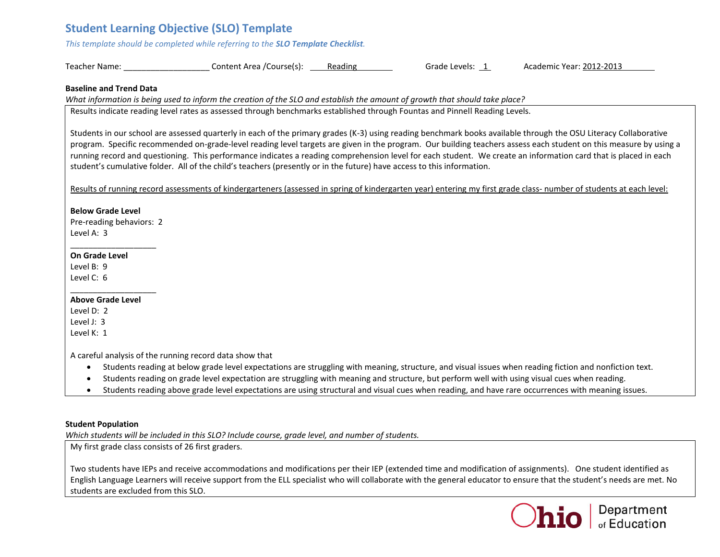# **Student Learning Objective (SLO) Template**

*This template should be completed while referring to the SLO Template Checklist.* 

| Teacher Name: | Content Area /Course(s): | Reading | Grade Levels: | Academic Year: 2012-2013 |
|---------------|--------------------------|---------|---------------|--------------------------|
|---------------|--------------------------|---------|---------------|--------------------------|

#### **Baseline and Trend Data**

*What information is being used to inform the creation of the SLO and establish the amount of growth that should take place?* 

Results indicate reading level rates as assessed through benchmarks established through Fountas and Pinnell Reading Levels.

Students in our school are assessed quarterly in each of the primary grades (K-3) using reading benchmark books available through the OSU Literacy Collaborative program. Specific recommended on-grade-level reading level targets are given in the program. Our building teachers assess each student on this measure by using a running record and questioning. This performance indicates a reading comprehension level for each student. We create an information card that is placed in each student's cumulative folder. All of the child's teachers (presently or in the future) have access to this information.

Results of running record assessments of kindergarteners (assessed in spring of kindergarten year) entering my first grade class- number of students at each level:

#### **Below Grade Level**

Pre-reading behaviors: 2 Level A: 3

\_\_\_\_\_\_\_\_\_\_\_\_\_\_\_\_\_\_\_

#### **On Grade Level**

Level B: 9 Level C: 6

#### \_\_\_\_\_\_\_\_\_\_\_\_\_\_\_\_\_\_\_ **Above Grade Level**

Level D: 2 Level J: 3 Level K: 1

A careful analysis of the running record data show that

- Students reading at below grade level expectations are struggling with meaning, structure, and visual issues when reading fiction and nonfiction text.
- Students reading on grade level expectation are struggling with meaning and structure, but perform well with using visual cues when reading.
- Students reading above grade level expectations are using structural and visual cues when reading, and have rare occurrences with meaning issues.

### **Student Population**

*Which students will be included in this SLO? Include course, grade level, and number of students.*

My first grade class consists of 26 first graders.

Two students have IEPs and receive accommodations and modifications per their IEP (extended time and modification of assignments). One student identified as English Language Learners will receive support from the ELL specialist who will collaborate with the general educator to ensure that the student's needs are met. No students are excluded from this SLO.

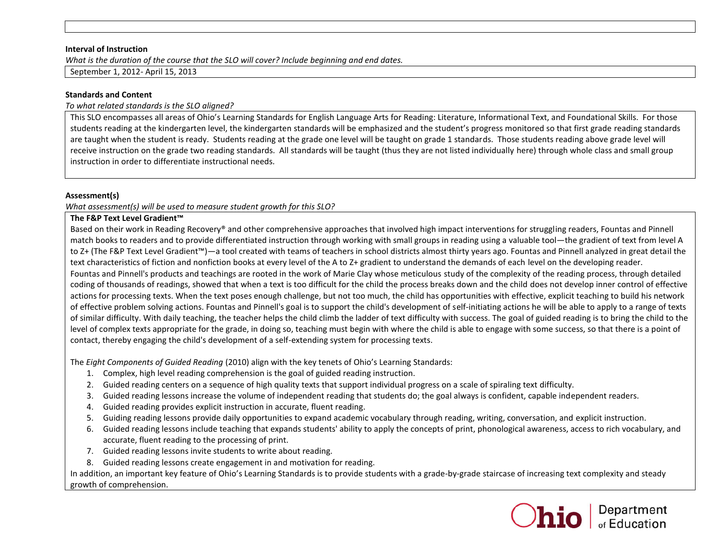#### **Interval of Instruction**

*What is the duration of the course that the SLO will cover? Include beginning and end dates.* 

September 1, 2012- April 15, 2013

### **Standards and Content**

*To what related standards is the SLO aligned?* 

This SLO encompasses all areas of Ohio's Learning Standards for English Language Arts for Reading: Literature, Informational Text, and Foundational Skills. For those students reading at the kindergarten level, the kindergarten standards will be emphasized and the student's progress monitored so that first grade reading standards are taught when the student is ready. Students reading at the grade one level will be taught on grade 1 standards. Those students reading above grade level will receive instruction on the grade two reading standards. All standards will be taught (thus they are not listed individually here) through whole class and small group instruction in order to differentiate instructional needs.

### **Assessment(s)**

*What assessment(s) will be used to measure student growth for this SLO?* 

## **The F&P Text Level Gradient™**

Based on their work in Reading Recovery® and other comprehensive approaches that involved high impact interventions for struggling readers, Fountas and Pinnell match books to readers and to provide differentiated instruction through working with small groups in reading using a valuable tool—the gradient of text from level A to Z+ (The F&P Text Level Gradient™)—a tool created with teams of teachers in school districts almost thirty years ago. Fountas and Pinnell analyzed in great detail the text characteristics of fiction and nonfiction books at every level of the A to Z+ gradient to understand the demands of each level on the developing reader.

Fountas and Pinnell's products and teachings are rooted in the work of Marie Clay whose meticulous study of the complexity of the reading process, through detailed coding of thousands of readings, showed that when a text is too difficult for the child the process breaks down and the child does not develop inner control of effective actions for processing texts. When the text poses enough challenge, but not too much, the child has opportunities with effective, explicit teaching to build his network of effective problem solving actions. Fountas and Pinnell's goal is to support the child's development of self-initiating actions he will be able to apply to a range of texts of similar difficulty. With daily teaching, the teacher helps the child climb the ladder of text difficulty with success. The goal of guided reading is to bring the child to the level of complex texts appropriate for the grade, in doing so, teaching must begin with where the child is able to engage with some success, so that there is a point of contact, thereby engaging the child's development of a self-extending system for processing texts.

The *Eight Components of Guided Reading* (2010) align with the key tenets of Ohio's Learning Standards:

- 1. Complex, high level reading comprehension is the goal of guided reading instruction.
- 2. Guided reading centers on a sequence of high quality texts that support individual progress on a scale of spiraling text difficulty.
- 3. Guided reading lessons increase the volume of independent reading that students do; the goal always is confident, capable independent readers.
- 4. Guided reading provides explicit instruction in accurate, fluent reading.
- 5. Guiding reading lessons provide daily opportunities to expand academic vocabulary through reading, writing, conversation, and explicit instruction.
- 6. Guided reading lessons include teaching that expands students' ability to apply the concepts of print, phonological awareness, access to rich vocabulary, and accurate, fluent reading to the processing of print.
- 7. Guided reading lessons invite students to write about reading.
- 8. Guided reading lessons create engagement in and motivation for reading.

In addition, an important key feature of Ohio's Learning Standards is to provide students with a grade-by-grade staircase of increasing text complexity and steady growth of comprehension.

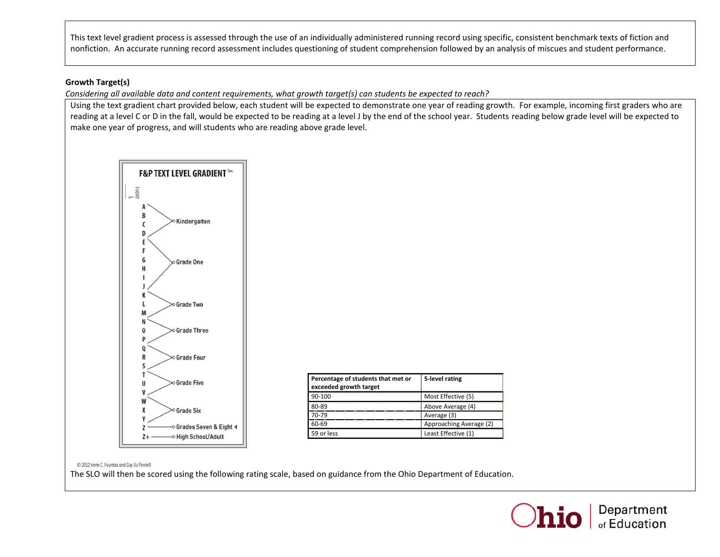This text level gradient process is assessed through the use of an individually administered running record using specific, consistent benchmark texts of fiction and nonfiction. An accurate running record assessment includes questioning of student comprehension followed by an analysis of miscues and student performance.

# **Growth Target(s)**

*Considering all available data and content requirements, what growth target(s) can students be expected to reach?* 

Using the text gradient chart provided below, each student will be expected to demonstrate one year of reading growth. For example, incoming first graders who are reading at a level C or D in the fall, would be expected to be reading at a level J by the end of the school year. Students reading below grade level will be expected to make one year of progress, and will students who are reading above grade level.



| Percentage of students that met or<br>exceeded growth target | 5-level rating          |
|--------------------------------------------------------------|-------------------------|
| 90-100                                                       | Most Effective (5)      |
| 80-89                                                        | Above Average (4)       |
| 70-79                                                        | Average (3)             |
| 60-69                                                        | Approaching Average (2) |
| 59 or less                                                   | Least Effective (1)     |

© 2012 Irene C. Fountas and Gay Su Pinnell

The SLO will then be scored using the following rating scale, based on guidance from the Ohio Department of Education.